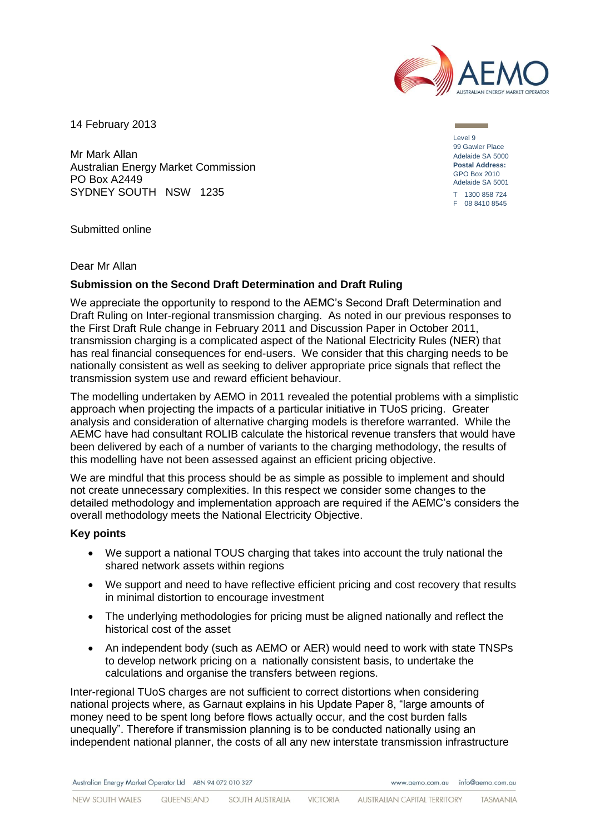

14 February 2013

Mr Mark Allan Australian Energy Market Commission PO Box A2449 SYDNEY SOUTH NSW 1235

Level 9 99 Gawler Place Adelaide SA 5000 **Postal Address:** GPO Box 2010 Adelaide SA 5001 T 1300 858 724 F 08 8410 8545

Submitted online

Dear Mr Allan

# **Submission on the Second Draft Determination and Draft Ruling**

We appreciate the opportunity to respond to the AEMC's Second Draft Determination and Draft Ruling on Inter-regional transmission charging. As noted in our previous responses to the First Draft Rule change in February 2011 and Discussion Paper in October 2011, transmission charging is a complicated aspect of the National Electricity Rules (NER) that has real financial consequences for end-users. We consider that this charging needs to be nationally consistent as well as seeking to deliver appropriate price signals that reflect the transmission system use and reward efficient behaviour.

The modelling undertaken by AEMO in 2011 revealed the potential problems with a simplistic approach when projecting the impacts of a particular initiative in TUoS pricing. Greater analysis and consideration of alternative charging models is therefore warranted. While the AEMC have had consultant ROLIB calculate the historical revenue transfers that would have been delivered by each of a number of variants to the charging methodology, the results of this modelling have not been assessed against an efficient pricing objective.

We are mindful that this process should be as simple as possible to implement and should not create unnecessary complexities. In this respect we consider some changes to the detailed methodology and implementation approach are required if the AEMC's considers the overall methodology meets the National Electricity Objective.

### **Key points**

- We support a national TOUS charging that takes into account the truly national the shared network assets within regions
- We support and need to have reflective efficient pricing and cost recovery that results in minimal distortion to encourage investment
- The underlying methodologies for pricing must be aligned nationally and reflect the historical cost of the asset
- An independent body (such as AEMO or AER) would need to work with state TNSPs to develop network pricing on a nationally consistent basis, to undertake the calculations and organise the transfers between regions.

Inter-regional TUoS charges are not sufficient to correct distortions when considering national projects where, as Garnaut explains in his Update Paper 8, "large amounts of money need to be spent long before flows actually occur, and the cost burden falls unequally". Therefore if transmission planning is to be conducted nationally using an independent national planner, the costs of all any new interstate transmission infrastructure

Australian Energy Market Operator Ltd ABN 94 072 010 327

www.gemo.com.gu info@gemo.com.gu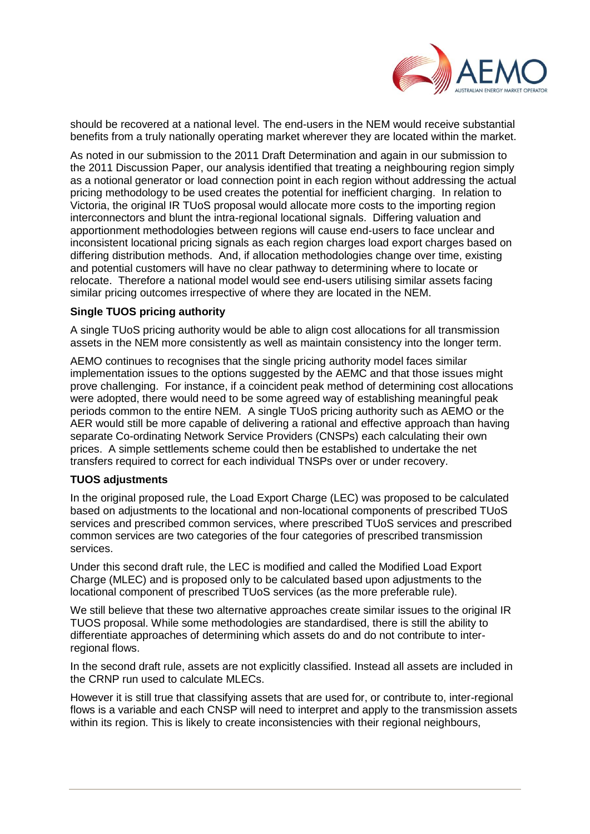

should be recovered at a national level. The end-users in the NEM would receive substantial benefits from a truly nationally operating market wherever they are located within the market.

As noted in our submission to the 2011 Draft Determination and again in our submission to the 2011 Discussion Paper, our analysis identified that treating a neighbouring region simply as a notional generator or load connection point in each region without addressing the actual pricing methodology to be used creates the potential for inefficient charging. In relation to Victoria, the original IR TUoS proposal would allocate more costs to the importing region interconnectors and blunt the intra-regional locational signals. Differing valuation and apportionment methodologies between regions will cause end-users to face unclear and inconsistent locational pricing signals as each region charges load export charges based on differing distribution methods. And, if allocation methodologies change over time, existing and potential customers will have no clear pathway to determining where to locate or relocate. Therefore a national model would see end-users utilising similar assets facing similar pricing outcomes irrespective of where they are located in the NEM.

# **Single TUOS pricing authority**

A single TUoS pricing authority would be able to align cost allocations for all transmission assets in the NEM more consistently as well as maintain consistency into the longer term.

AEMO continues to recognises that the single pricing authority model faces similar implementation issues to the options suggested by the AEMC and that those issues might prove challenging. For instance, if a coincident peak method of determining cost allocations were adopted, there would need to be some agreed way of establishing meaningful peak periods common to the entire NEM. A single TUoS pricing authority such as AEMO or the AER would still be more capable of delivering a rational and effective approach than having separate Co-ordinating Network Service Providers (CNSPs) each calculating their own prices. A simple settlements scheme could then be established to undertake the net transfers required to correct for each individual TNSPs over or under recovery.

### **TUOS adjustments**

In the original proposed rule, the Load Export Charge (LEC) was proposed to be calculated based on adjustments to the locational and non-locational components of prescribed TUoS services and prescribed common services, where prescribed TUoS services and prescribed common services are two categories of the four categories of prescribed transmission services.

Under this second draft rule, the LEC is modified and called the Modified Load Export Charge (MLEC) and is proposed only to be calculated based upon adjustments to the locational component of prescribed TUoS services (as the more preferable rule).

We still believe that these two alternative approaches create similar issues to the original IR TUOS proposal. While some methodologies are standardised, there is still the ability to differentiate approaches of determining which assets do and do not contribute to interregional flows.

In the second draft rule, assets are not explicitly classified. Instead all assets are included in the CRNP run used to calculate MLECs.

However it is still true that classifying assets that are used for, or contribute to, inter-regional flows is a variable and each CNSP will need to interpret and apply to the transmission assets within its region. This is likely to create inconsistencies with their regional neighbours,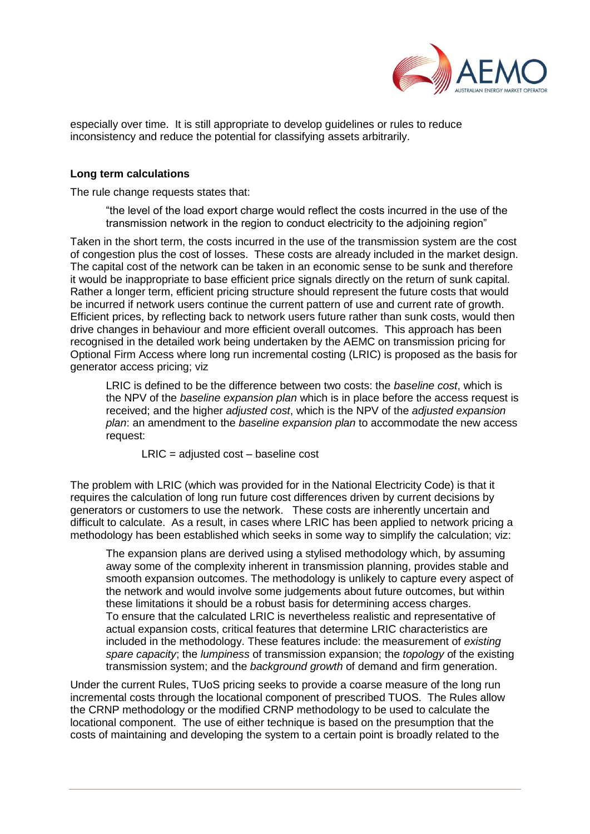

especially over time. It is still appropriate to develop guidelines or rules to reduce inconsistency and reduce the potential for classifying assets arbitrarily.

# **Long term calculations**

The rule change requests states that:

"the level of the load export charge would reflect the costs incurred in the use of the transmission network in the region to conduct electricity to the adjoining region"

Taken in the short term, the costs incurred in the use of the transmission system are the cost of congestion plus the cost of losses. These costs are already included in the market design. The capital cost of the network can be taken in an economic sense to be sunk and therefore it would be inappropriate to base efficient price signals directly on the return of sunk capital. Rather a longer term, efficient pricing structure should represent the future costs that would be incurred if network users continue the current pattern of use and current rate of growth. Efficient prices, by reflecting back to network users future rather than sunk costs, would then drive changes in behaviour and more efficient overall outcomes. This approach has been recognised in the detailed work being undertaken by the AEMC on transmission pricing for Optional Firm Access where long run incremental costing (LRIC) is proposed as the basis for generator access pricing; viz

LRIC is defined to be the difference between two costs: the *baseline cost*, which is the NPV of the *baseline expansion plan* which is in place before the access request is received; and the higher *adjusted cost*, which is the NPV of the *adjusted expansion plan*: an amendment to the *baseline expansion plan* to accommodate the new access request:

LRIC = adjusted cost – baseline cost

The problem with LRIC (which was provided for in the National Electricity Code) is that it requires the calculation of long run future cost differences driven by current decisions by generators or customers to use the network. These costs are inherently uncertain and difficult to calculate. As a result, in cases where LRIC has been applied to network pricing a methodology has been established which seeks in some way to simplify the calculation; viz:

The expansion plans are derived using a stylised methodology which, by assuming away some of the complexity inherent in transmission planning, provides stable and smooth expansion outcomes. The methodology is unlikely to capture every aspect of the network and would involve some judgements about future outcomes, but within these limitations it should be a robust basis for determining access charges. To ensure that the calculated LRIC is nevertheless realistic and representative of actual expansion costs, critical features that determine LRIC characteristics are included in the methodology. These features include: the measurement of *existing spare capacity*; the *lumpiness* of transmission expansion; the *topology* of the existing transmission system; and the *background growth* of demand and firm generation.

Under the current Rules, TUoS pricing seeks to provide a coarse measure of the long run incremental costs through the locational component of prescribed TUOS. The Rules allow the CRNP methodology or the modified CRNP methodology to be used to calculate the locational component. The use of either technique is based on the presumption that the costs of maintaining and developing the system to a certain point is broadly related to the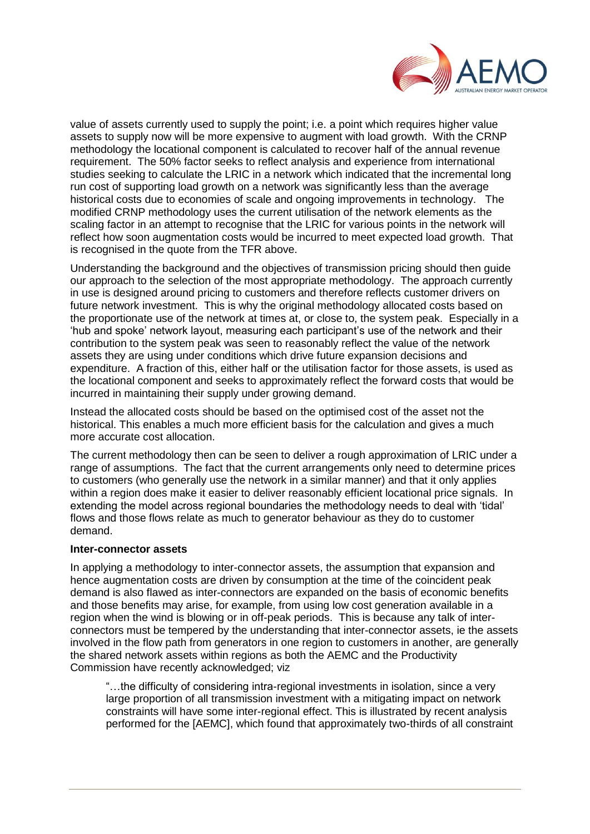

value of assets currently used to supply the point; i.e. a point which requires higher value assets to supply now will be more expensive to augment with load growth. With the CRNP methodology the locational component is calculated to recover half of the annual revenue requirement. The 50% factor seeks to reflect analysis and experience from international studies seeking to calculate the LRIC in a network which indicated that the incremental long run cost of supporting load growth on a network was significantly less than the average historical costs due to economies of scale and ongoing improvements in technology. The modified CRNP methodology uses the current utilisation of the network elements as the scaling factor in an attempt to recognise that the LRIC for various points in the network will reflect how soon augmentation costs would be incurred to meet expected load growth. That is recognised in the quote from the TFR above.

Understanding the background and the objectives of transmission pricing should then guide our approach to the selection of the most appropriate methodology. The approach currently in use is designed around pricing to customers and therefore reflects customer drivers on future network investment. This is why the original methodology allocated costs based on the proportionate use of the network at times at, or close to, the system peak. Especially in a 'hub and spoke' network layout, measuring each participant's use of the network and their contribution to the system peak was seen to reasonably reflect the value of the network assets they are using under conditions which drive future expansion decisions and expenditure. A fraction of this, either half or the utilisation factor for those assets, is used as the locational component and seeks to approximately reflect the forward costs that would be incurred in maintaining their supply under growing demand.

Instead the allocated costs should be based on the optimised cost of the asset not the historical. This enables a much more efficient basis for the calculation and gives a much more accurate cost allocation.

The current methodology then can be seen to deliver a rough approximation of LRIC under a range of assumptions. The fact that the current arrangements only need to determine prices to customers (who generally use the network in a similar manner) and that it only applies within a region does make it easier to deliver reasonably efficient locational price signals. In extending the model across regional boundaries the methodology needs to deal with 'tidal' flows and those flows relate as much to generator behaviour as they do to customer demand.

### **Inter-connector assets**

In applying a methodology to inter-connector assets, the assumption that expansion and hence augmentation costs are driven by consumption at the time of the coincident peak demand is also flawed as inter-connectors are expanded on the basis of economic benefits and those benefits may arise, for example, from using low cost generation available in a region when the wind is blowing or in off-peak periods. This is because any talk of interconnectors must be tempered by the understanding that inter-connector assets, ie the assets involved in the flow path from generators in one region to customers in another, are generally the shared network assets within regions as both the AEMC and the Productivity Commission have recently acknowledged; viz

"…the difficulty of considering intra-regional investments in isolation, since a very large proportion of all transmission investment with a mitigating impact on network constraints will have some inter-regional effect. This is illustrated by recent analysis performed for the [AEMC], which found that approximately two-thirds of all constraint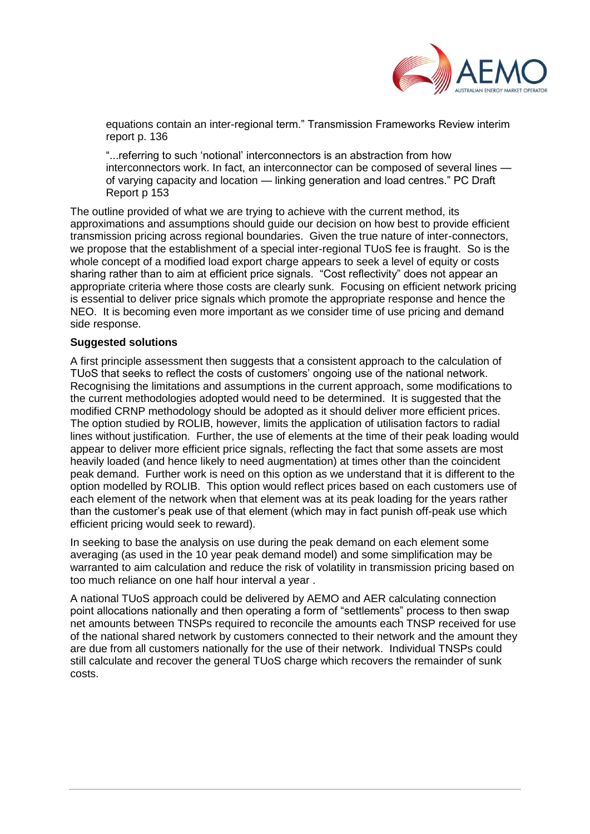

equations contain an inter-regional term." Transmission Frameworks Review interim report p. 136

"...referring to such 'notional' interconnectors is an abstraction from how interconnectors work. In fact, an interconnector can be composed of several lines of varying capacity and location — linking generation and load centres." PC Draft Report p 153

The outline provided of what we are trying to achieve with the current method, its approximations and assumptions should guide our decision on how best to provide efficient transmission pricing across regional boundaries. Given the true nature of inter-connectors, we propose that the establishment of a special inter-regional TUoS fee is fraught. So is the whole concept of a modified load export charge appears to seek a level of equity or costs sharing rather than to aim at efficient price signals. "Cost reflectivity" does not appear an appropriate criteria where those costs are clearly sunk. Focusing on efficient network pricing is essential to deliver price signals which promote the appropriate response and hence the NEO. It is becoming even more important as we consider time of use pricing and demand side response.

# **Suggested solutions**

A first principle assessment then suggests that a consistent approach to the calculation of TUoS that seeks to reflect the costs of customers' ongoing use of the national network. Recognising the limitations and assumptions in the current approach, some modifications to the current methodologies adopted would need to be determined. It is suggested that the modified CRNP methodology should be adopted as it should deliver more efficient prices. The option studied by ROLIB, however, limits the application of utilisation factors to radial lines without justification. Further, the use of elements at the time of their peak loading would appear to deliver more efficient price signals, reflecting the fact that some assets are most heavily loaded (and hence likely to need augmentation) at times other than the coincident peak demand. Further work is need on this option as we understand that it is different to the option modelled by ROLIB. This option would reflect prices based on each customers use of each element of the network when that element was at its peak loading for the years rather than the customer's peak use of that element (which may in fact punish off-peak use which efficient pricing would seek to reward).

In seeking to base the analysis on use during the peak demand on each element some averaging (as used in the 10 year peak demand model) and some simplification may be warranted to aim calculation and reduce the risk of volatility in transmission pricing based on too much reliance on one half hour interval a year .

A national TUoS approach could be delivered by AEMO and AER calculating connection point allocations nationally and then operating a form of "settlements" process to then swap net amounts between TNSPs required to reconcile the amounts each TNSP received for use of the national shared network by customers connected to their network and the amount they are due from all customers nationally for the use of their network. Individual TNSPs could still calculate and recover the general TUoS charge which recovers the remainder of sunk costs.